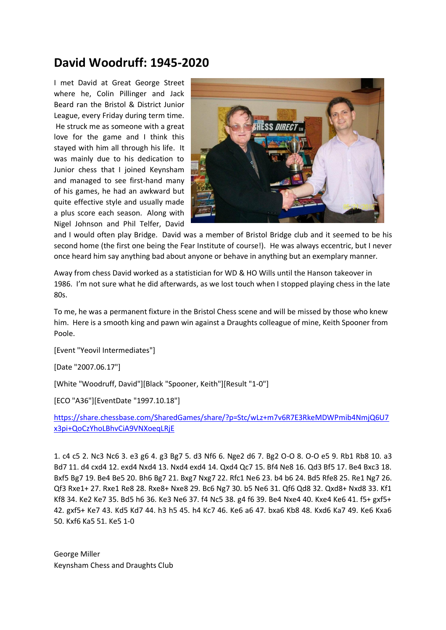## **David Woodruff: 1945-2020**

I met David at Great George Street where he, Colin Pillinger and Jack Beard ran the Bristol & District Junior League, every Friday during term time. He struck me as someone with a great love for the game and I think this stayed with him all through his life. It was mainly due to his dedication to Junior chess that I joined Keynsham and managed to see first-hand many of his games, he had an awkward but quite effective style and usually made a plus score each season. Along with Nigel Johnson and Phil Telfer, David



and I would often play Bridge. David was a member of Bristol Bridge club and it seemed to be his second home (the first one being the Fear Institute of course!). He was always eccentric, but I never once heard him say anything bad about anyone or behave in anything but an exemplary manner.

Away from chess David worked as a statistician for WD & HO Wills until the Hanson takeover in 1986. I'm not sure what he did afterwards, as we lost touch when I stopped playing chess in the late 80s.

To me, he was a permanent fixture in the Bristol Chess scene and will be missed by those who knew him. Here is a smooth king and pawn win against a Draughts colleague of mine, Keith Spooner from Poole.

[Event "Yeovil Intermediates"]

[Date "2007.06.17"]

[White "Woodruff, David"][Black "Spooner, Keith"][Result "1-0"]

[ECO "A36"][EventDate "1997.10.18"]

[https://share.chessbase.com/SharedGames/share/?p=Stc/wLz+m7v6R7E3RkeMDWPmib4NmjQ6U7](https://share.chessbase.com/SharedGames/share/?p=Stc/wLz+m7v6R7E3RkeMDWPmib4NmjQ6U7x3pi+QoCzYhoLBhvCiA9VNXoeqLRjE) [x3pi+QoCzYhoLBhvCiA9VNXoeqLRjE](https://share.chessbase.com/SharedGames/share/?p=Stc/wLz+m7v6R7E3RkeMDWPmib4NmjQ6U7x3pi+QoCzYhoLBhvCiA9VNXoeqLRjE)

1. c4 c5 2. Nc3 Nc6 3. e3 g6 4. g3 Bg7 5. d3 Nf6 6. Nge2 d6 7. Bg2 O-O 8. O-O e5 9. Rb1 Rb8 10. a3 Bd7 11. d4 cxd4 12. exd4 Nxd4 13. Nxd4 exd4 14. Qxd4 Qc7 15. Bf4 Ne8 16. Qd3 Bf5 17. Be4 Bxc3 18. Bxf5 Bg7 19. Be4 Be5 20. Bh6 Bg7 21. Bxg7 Nxg7 22. Rfc1 Ne6 23. b4 b6 24. Bd5 Rfe8 25. Re1 Ng7 26. Qf3 Rxe1+ 27. Rxe1 Re8 28. Rxe8+ Nxe8 29. Bc6 Ng7 30. b5 Ne6 31. Qf6 Qd8 32. Qxd8+ Nxd8 33. Kf1 Kf8 34. Ke2 Ke7 35. Bd5 h6 36. Ke3 Ne6 37. f4 Nc5 38. g4 f6 39. Be4 Nxe4 40. Kxe4 Ke6 41. f5+ gxf5+ 42. gxf5+ Ke7 43. Kd5 Kd7 44. h3 h5 45. h4 Kc7 46. Ke6 a6 47. bxa6 Kb8 48. Kxd6 Ka7 49. Ke6 Kxa6 50. Kxf6 Ka5 51. Ke5 1-0

George Miller Keynsham Chess and Draughts Club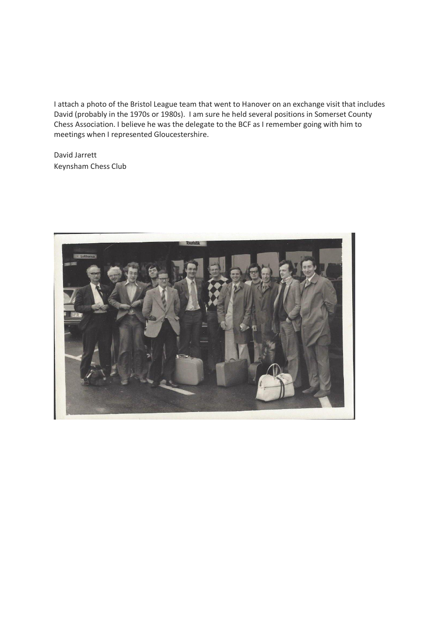I attach a photo of the Bristol League team that went to Hanover on an exchange visit that includes David (probably in the 1970s or 1980s). I am sure he held several positions in Somerset County Chess Association. I believe he was the delegate to the BCF as I remember going with him to meetings when I represented Gloucestershire.

David Jarrett Keynsham Chess Club

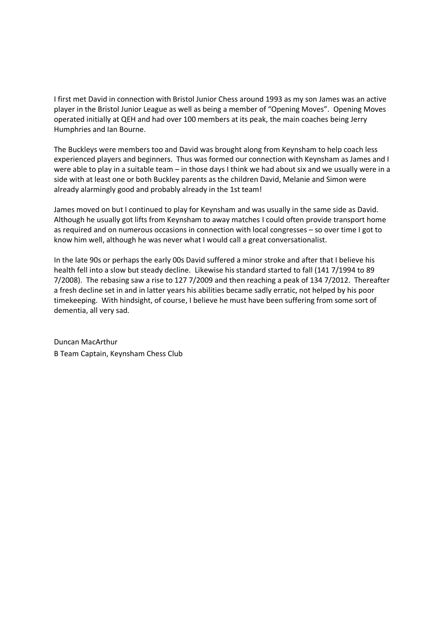I first met David in connection with Bristol Junior Chess around 1993 as my son James was an active player in the Bristol Junior League as well as being a member of "Opening Moves". Opening Moves operated initially at QEH and had over 100 members at its peak, the main coaches being Jerry Humphries and Ian Bourne.

The Buckleys were members too and David was brought along from Keynsham to help coach less experienced players and beginners. Thus was formed our connection with Keynsham as James and I were able to play in a suitable team – in those days I think we had about six and we usually were in a side with at least one or both Buckley parents as the children David, Melanie and Simon were already alarmingly good and probably already in the 1st team!

James moved on but I continued to play for Keynsham and was usually in the same side as David. Although he usually got lifts from Keynsham to away matches I could often provide transport home as required and on numerous occasions in connection with local congresses – so over time I got to know him well, although he was never what I would call a great conversationalist.

In the late 90s or perhaps the early 00s David suffered a minor stroke and after that I believe his health fell into a slow but steady decline. Likewise his standard started to fall (141 7/1994 to 89 7/2008). The rebasing saw a rise to 127 7/2009 and then reaching a peak of 134 7/2012. Thereafter a fresh decline set in and in latter years his abilities became sadly erratic, not helped by his poor timekeeping. With hindsight, of course, I believe he must have been suffering from some sort of dementia, all very sad.

Duncan MacArthur B Team Captain, Keynsham Chess Club